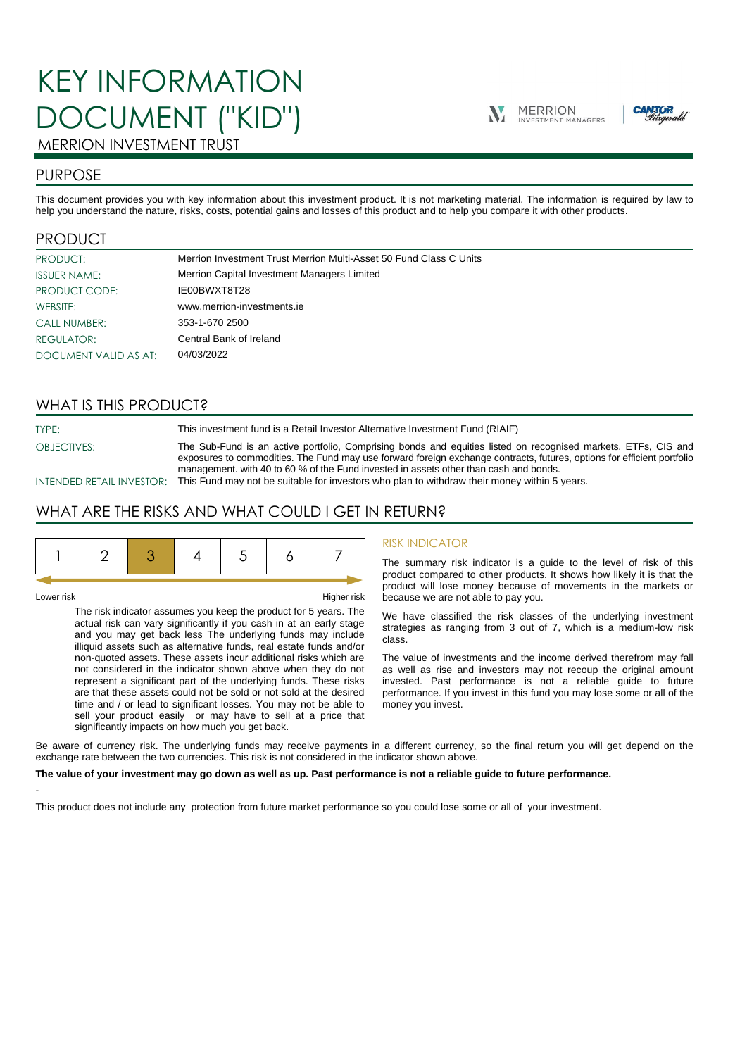# KEY INFORMATION DOCUMENT ("KID")





# MERRION INVESTMENT TRUST

# PURPOSE

This document provides you with key information about this investment product. It is not marketing material. The information is required by law to help you understand the nature, risks, costs, potential gains and losses of this product and to help you compare it with other products.

# PRODUCT

| PRODUCT:              | Merrion Investment Trust Merrion Multi-Asset 50 Fund Class C Units |
|-----------------------|--------------------------------------------------------------------|
| <b>ISSUER NAME:</b>   | Merrion Capital Investment Managers Limited                        |
| PRODUCT CODE:         | IE00BWXT8T28                                                       |
| WEBSITE:              | www.merrion-investments.ie                                         |
| <b>CALL NUMBER:</b>   | 353-1-670 2500                                                     |
| <b>REGULATOR:</b>     | Central Bank of Ireland                                            |
| DOCUMENT VALID AS AT: | 04/03/2022                                                         |

# WHAT IS THIS PRODUCT?

TYPE: This investment fund is a Retail Investor Alternative Investment Fund (RIAIF)

OBJECTIVES: The Sub-Fund is an active portfolio, Comprising bonds and equities listed on recognised markets, ETFs, CIS and exposures to commodities. The Fund may use forward foreign exchange contracts, futures, options for efficient portfolio management. with 40 to 60 % of the Fund invested in assets other than cash and bonds.

INTENDED RETAIL INVESTOR: This Fund may not be suitable for investors who plan to withdraw their money within 5 years.

# WHAT ARE THE RISKS AND WHAT COULD I GET IN RETURN?

|--|--|--|--|--|--|--|--|

-

Lower risk Higher risk

The risk indicator assumes you keep the product for 5 years. The actual risk can vary significantly if you cash in at an early stage and you may get back less The underlying funds may include illiquid assets such as alternative funds, real estate funds and/or non-quoted assets. These assets incur additional risks which are not considered in the indicator shown above when they do not represent a significant part of the underlying funds. These risks are that these assets could not be sold or not sold at the desired time and / or lead to significant losses. You may not be able to sell your product easily or may have to sell at a price that significantly impacts on how much you get back.

### RISK INDICATOR

The summary risk indicator is a guide to the level of risk of this product compared to other products. It shows how likely it is that the product will lose money because of movements in the markets or because we are not able to pay you.

We have classified the risk classes of the underlying investment strategies as ranging from 3 out of 7, which is a medium-low risk class.

The value of investments and the income derived therefrom may fall as well as rise and investors may not recoup the original amount invested. Past performance is not a reliable guide to future performance. If you invest in this fund you may lose some or all of the money you invest.

Be aware of currency risk. The underlying funds may receive payments in a different currency, so the final return you will get depend on the exchange rate between the two currencies. This risk is not considered in the indicator shown above.

#### **The value of your investment may go down as well as up. Past performance is not a reliable guide to future performance.**

This product does not include any protection from future market performance so you could lose some or all of your investment.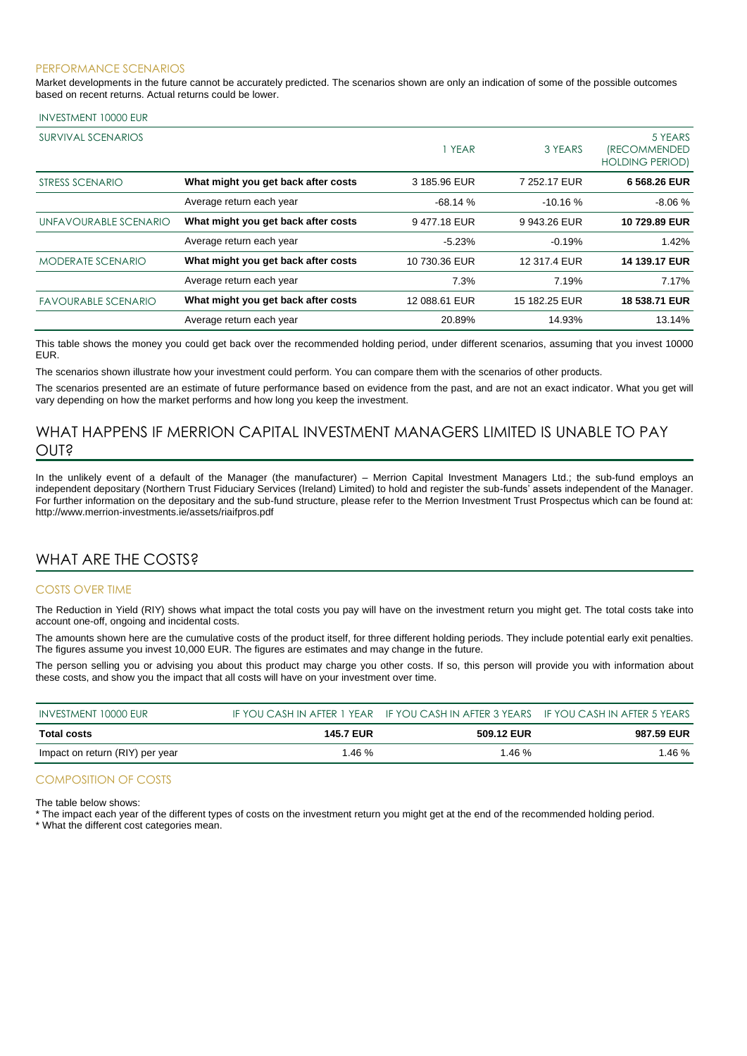#### PERFORMANCE SCENARIOS

Market developments in the future cannot be accurately predicted. The scenarios shown are only an indication of some of the possible outcomes based on recent returns. Actual returns could be lower.

#### INVESTMENT 10000 EUR

| <b>SURVIVAL SCENARIOS</b>  |                                     | 1 YEAR        | 3 YEARS       | 5 YEARS<br><i><b>(RECOMMENDED</b></i><br><b>HOLDING PERIOD)</b> |
|----------------------------|-------------------------------------|---------------|---------------|-----------------------------------------------------------------|
| STRESS SCENARIO            | What might you get back after costs | 3 185.96 EUR  | 7 252.17 EUR  | 6 568.26 EUR                                                    |
|                            | Average return each year            | $-68.14%$     | $-10.16%$     | $-8.06%$                                                        |
| UNFAVOURABLE SCENARIO      | What might you get back after costs | 9477.18 EUR   | 9 943.26 EUR  | 10 729.89 EUR                                                   |
|                            | Average return each year            | $-5.23%$      | $-0.19%$      | 1.42%                                                           |
| <b>MODERATE SCENARIO</b>   | What might you get back after costs | 10 730.36 EUR | 12 317.4 EUR  | 14 139.17 EUR                                                   |
|                            | Average return each year            | 7.3%          | 7.19%         | 7.17%                                                           |
| <b>FAVOURABLE SCENARIO</b> | What might you get back after costs | 12 088.61 EUR | 15 182.25 EUR | 18 538.71 EUR                                                   |
|                            | Average return each year            | 20.89%        | 14.93%        | 13.14%                                                          |

This table shows the money you could get back over the recommended holding period, under different scenarios, assuming that you invest 10000 EUR.

The scenarios shown illustrate how your investment could perform. You can compare them with the scenarios of other products.

The scenarios presented are an estimate of future performance based on evidence from the past, and are not an exact indicator. What you get will vary depending on how the market performs and how long you keep the investment.

# WHAT HAPPENS IF MERRION CAPITAL INVESTMENT MANAGERS LIMITED IS UNABLE TO PAY OUT?

In the unlikely event of a default of the Manager (the manufacturer) – Merrion Capital Investment Managers Ltd.; the sub-fund employs an independent depositary (Northern Trust Fiduciary Services (Ireland) Limited) to hold and register the sub-funds' assets independent of the Manager. For further information on the depositary and the sub-fund structure, please refer to the Merrion Investment Trust Prospectus which can be found at: http://www.merrion-investments.ie/assets/riaifpros.pdf

# WHAT ARE THE COSTS?

#### COSTS OVER TIME

The Reduction in Yield (RIY) shows what impact the total costs you pay will have on the investment return you might get. The total costs take into account one-off, ongoing and incidental costs.

The amounts shown here are the cumulative costs of the product itself, for three different holding periods. They include potential early exit penalties. The figures assume you invest 10,000 EUR. The figures are estimates and may change in the future.

The person selling you or advising you about this product may charge you other costs. If so, this person will provide you with information about these costs, and show you the impact that all costs will have on your investment over time.

| INVESTMENT 10000 EUR            |                  | IF YOU CASH IN AFTER 1 YEAR IF YOU CASH IN AFTER 3 YEARS IF YOU CASH IN AFTER 5 YEARS |            |
|---------------------------------|------------------|---------------------------------------------------------------------------------------|------------|
| Total costs                     | <b>145.7 EUR</b> | 509.12 EUR                                                                            | 987.59 EUR |
| Impact on return (RIY) per year | 1.46 %           | 1.46%                                                                                 | 1.46 %     |

### COMPOSITION OF COSTS

The table below shows:

\* The impact each year of the different types of costs on the investment return you might get at the end of the recommended holding period.

\* What the different cost categories mean.